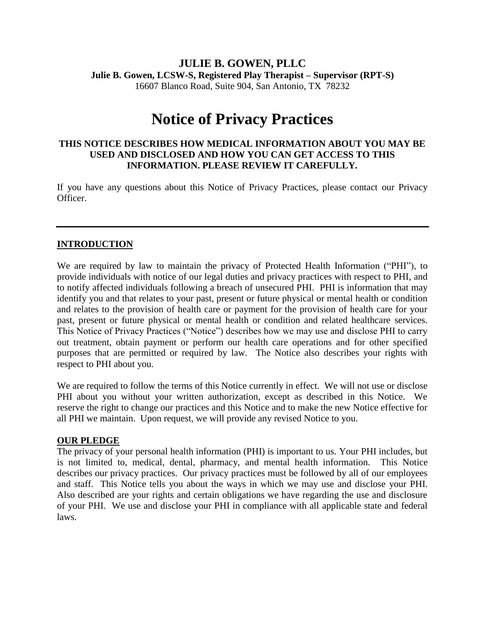## **JULIE B. GOWEN, PLLC Julie B. Gowen, LCSW-S, Registered Play Therapist – Supervisor (RPT-S)** 16607 Blanco Road, Suite 904, San Antonio, TX 78232

# **Notice of Privacy Practices**

### **THIS NOTICE DESCRIBES HOW MEDICAL INFORMATION ABOUT YOU MAY BE USED AND DISCLOSED AND HOW YOU CAN GET ACCESS TO THIS INFORMATION. PLEASE REVIEW IT CAREFULLY.**

If you have any questions about this Notice of Privacy Practices, please contact our Privacy Officer.

### **INTRODUCTION**

We are required by law to maintain the privacy of Protected Health Information ("PHI"), to provide individuals with notice of our legal duties and privacy practices with respect to PHI, and to notify affected individuals following a breach of unsecured PHI. PHI is information that may identify you and that relates to your past, present or future physical or mental health or condition and relates to the provision of health care or payment for the provision of health care for your past, present or future physical or mental health or condition and related healthcare services. This Notice of Privacy Practices ("Notice") describes how we may use and disclose PHI to carry out treatment, obtain payment or perform our health care operations and for other specified purposes that are permitted or required by law. The Notice also describes your rights with respect to PHI about you.

We are required to follow the terms of this Notice currently in effect. We will not use or disclose PHI about you without your written authorization, except as described in this Notice. We reserve the right to change our practices and this Notice and to make the new Notice effective for all PHI we maintain. Upon request, we will provide any revised Notice to you.

#### **OUR PLEDGE**

The privacy of your personal health information (PHI) is important to us. Your PHI includes, but is not limited to, medical, dental, pharmacy, and mental health information. This Notice describes our privacy practices. Our privacy practices must be followed by all of our employees and staff. This Notice tells you about the ways in which we may use and disclose your PHI. Also described are your rights and certain obligations we have regarding the use and disclosure of your PHI. We use and disclose your PHI in compliance with all applicable state and federal laws.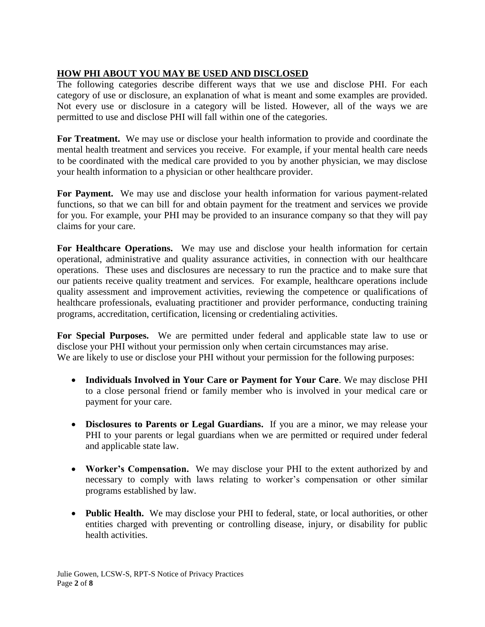# **HOW PHI ABOUT YOU MAY BE USED AND DISCLOSED**

The following categories describe different ways that we use and disclose PHI. For each category of use or disclosure, an explanation of what is meant and some examples are provided. Not every use or disclosure in a category will be listed. However, all of the ways we are permitted to use and disclose PHI will fall within one of the categories.

**For Treatment.** We may use or disclose your health information to provide and coordinate the mental health treatment and services you receive. For example, if your mental health care needs to be coordinated with the medical care provided to you by another physician, we may disclose your health information to a physician or other healthcare provider.

**For Payment.** We may use and disclose your health information for various payment-related functions, so that we can bill for and obtain payment for the treatment and services we provide for you. For example, your PHI may be provided to an insurance company so that they will pay claims for your care.

For Healthcare Operations. We may use and disclose your health information for certain operational, administrative and quality assurance activities, in connection with our healthcare operations. These uses and disclosures are necessary to run the practice and to make sure that our patients receive quality treatment and services. For example, healthcare operations include quality assessment and improvement activities, reviewing the competence or qualifications of healthcare professionals, evaluating practitioner and provider performance, conducting training programs, accreditation, certification, licensing or credentialing activities.

**For Special Purposes.** We are permitted under federal and applicable state law to use or disclose your PHI without your permission only when certain circumstances may arise. We are likely to use or disclose your PHI without your permission for the following purposes:

- **Individuals Involved in Your Care or Payment for Your Care**. We may disclose PHI to a close personal friend or family member who is involved in your medical care or payment for your care.
- **Disclosures to Parents or Legal Guardians.** If you are a minor, we may release your PHI to your parents or legal guardians when we are permitted or required under federal and applicable state law.
- **Worker's Compensation.** We may disclose your PHI to the extent authorized by and necessary to comply with laws relating to worker's compensation or other similar programs established by law.
- **Public Health.** We may disclose your PHI to federal, state, or local authorities, or other entities charged with preventing or controlling disease, injury, or disability for public health activities.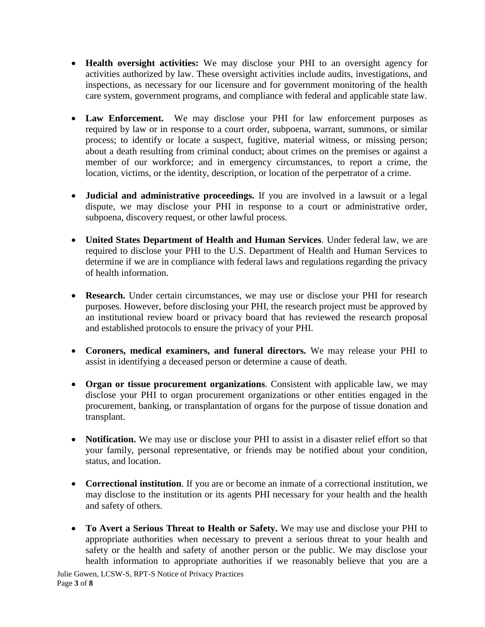- **Health oversight activities:** We may disclose your PHI to an oversight agency for activities authorized by law. These oversight activities include audits, investigations, and inspections, as necessary for our licensure and for government monitoring of the health care system, government programs, and compliance with federal and applicable state law.
- **Law Enforcement.** We may disclose your PHI for law enforcement purposes as required by law or in response to a court order, subpoena, warrant, summons, or similar process; to identify or locate a suspect, fugitive, material witness, or missing person; about a death resulting from criminal conduct; about crimes on the premises or against a member of our workforce; and in emergency circumstances, to report a crime, the location, victims, or the identity, description, or location of the perpetrator of a crime.
- **Judicial and administrative proceedings.** If you are involved in a lawsuit or a legal dispute, we may disclose your PHI in response to a court or administrative order, subpoena, discovery request, or other lawful process.
- **United States Department of Health and Human Services**. Under federal law, we are required to disclose your PHI to the U.S. Department of Health and Human Services to determine if we are in compliance with federal laws and regulations regarding the privacy of health information.
- **Research.** Under certain circumstances, we may use or disclose your PHI for research purposes. However, before disclosing your PHI, the research project must be approved by an institutional review board or privacy board that has reviewed the research proposal and established protocols to ensure the privacy of your PHI.
- **Coroners, medical examiners, and funeral directors.** We may release your PHI to assist in identifying a deceased person or determine a cause of death.
- **Organ or tissue procurement organizations**. Consistent with applicable law, we may disclose your PHI to organ procurement organizations or other entities engaged in the procurement, banking, or transplantation of organs for the purpose of tissue donation and transplant.
- **Notification.** We may use or disclose your PHI to assist in a disaster relief effort so that your family, personal representative, or friends may be notified about your condition, status, and location.
- **Correctional institution**. If you are or become an inmate of a correctional institution, we may disclose to the institution or its agents PHI necessary for your health and the health and safety of others.
- **To Avert a Serious Threat to Health or Safety.** We may use and disclose your PHI to appropriate authorities when necessary to prevent a serious threat to your health and safety or the health and safety of another person or the public. We may disclose your health information to appropriate authorities if we reasonably believe that you are a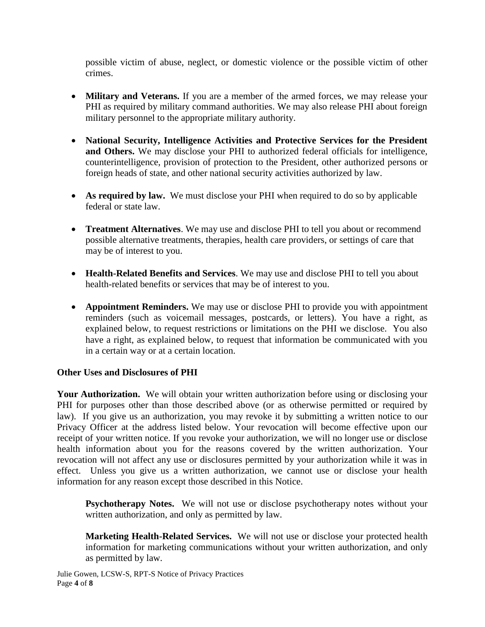possible victim of abuse, neglect, or domestic violence or the possible victim of other crimes.

- **Military and Veterans.** If you are a member of the armed forces, we may release your PHI as required by military command authorities. We may also release PHI about foreign military personnel to the appropriate military authority.
- **National Security, Intelligence Activities and Protective Services for the President and Others.** We may disclose your PHI to authorized federal officials for intelligence, counterintelligence, provision of protection to the President, other authorized persons or foreign heads of state, and other national security activities authorized by law.
- **As required by law.** We must disclose your PHI when required to do so by applicable federal or state law.
- **Treatment Alternatives**. We may use and disclose PHI to tell you about or recommend possible alternative treatments, therapies, health care providers, or settings of care that may be of interest to you.
- **Health-Related Benefits and Services**. We may use and disclose PHI to tell you about health-related benefits or services that may be of interest to you.
- **Appointment Reminders.** We may use or disclose PHI to provide you with appointment reminders (such as voicemail messages, postcards, or letters). You have a right, as explained below, to request restrictions or limitations on the PHI we disclose. You also have a right, as explained below, to request that information be communicated with you in a certain way or at a certain location.

## **Other Uses and Disclosures of PHI**

Your Authorization. We will obtain your written authorization before using or disclosing your PHI for purposes other than those described above (or as otherwise permitted or required by law). If you give us an authorization, you may revoke it by submitting a written notice to our Privacy Officer at the address listed below. Your revocation will become effective upon our receipt of your written notice. If you revoke your authorization, we will no longer use or disclose health information about you for the reasons covered by the written authorization. Your revocation will not affect any use or disclosures permitted by your authorization while it was in effect. Unless you give us a written authorization, we cannot use or disclose your health information for any reason except those described in this Notice.

**Psychotherapy Notes.** We will not use or disclose psychotherapy notes without your written authorization, and only as permitted by law.

**Marketing Health-Related Services.** We will not use or disclose your protected health information for marketing communications without your written authorization, and only as permitted by law.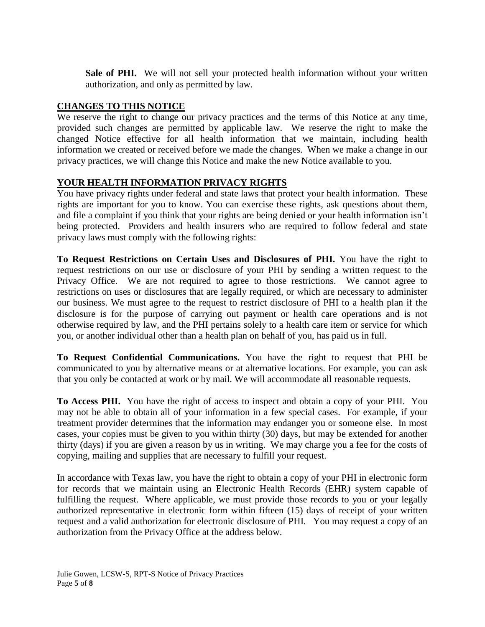Sale of PHI. We will not sell your protected health information without your written authorization, and only as permitted by law.

## **CHANGES TO THIS NOTICE**

We reserve the right to change our privacy practices and the terms of this Notice at any time, provided such changes are permitted by applicable law. We reserve the right to make the changed Notice effective for all health information that we maintain, including health information we created or received before we made the changes. When we make a change in our privacy practices, we will change this Notice and make the new Notice available to you.

## **YOUR HEALTH INFORMATION PRIVACY RIGHTS**

You have privacy rights under federal and state laws that protect your health information. These rights are important for you to know. You can exercise these rights, ask questions about them, and file a complaint if you think that your rights are being denied or your health information isn't being protected. Providers and health insurers who are required to follow federal and state privacy laws must comply with the following rights:

**To Request Restrictions on Certain Uses and Disclosures of PHI.** You have the right to request restrictions on our use or disclosure of your PHI by sending a written request to the Privacy Office. We are not required to agree to those restrictions. We cannot agree to restrictions on uses or disclosures that are legally required, or which are necessary to administer our business. We must agree to the request to restrict disclosure of PHI to a health plan if the disclosure is for the purpose of carrying out payment or health care operations and is not otherwise required by law, and the PHI pertains solely to a health care item or service for which you, or another individual other than a health plan on behalf of you, has paid us in full.

**To Request Confidential Communications.** You have the right to request that PHI be communicated to you by alternative means or at alternative locations. For example, you can ask that you only be contacted at work or by mail. We will accommodate all reasonable requests.

**To Access PHI.** You have the right of access to inspect and obtain a copy of your PHI. You may not be able to obtain all of your information in a few special cases. For example, if your treatment provider determines that the information may endanger you or someone else. In most cases, your copies must be given to you within thirty (30) days, but may be extended for another thirty (days) if you are given a reason by us in writing. We may charge you a fee for the costs of copying, mailing and supplies that are necessary to fulfill your request.

In accordance with Texas law, you have the right to obtain a copy of your PHI in electronic form for records that we maintain using an Electronic Health Records (EHR) system capable of fulfilling the request. Where applicable, we must provide those records to you or your legally authorized representative in electronic form within fifteen (15) days of receipt of your written request and a valid authorization for electronic disclosure of PHI. You may request a copy of an authorization from the Privacy Office at the address below.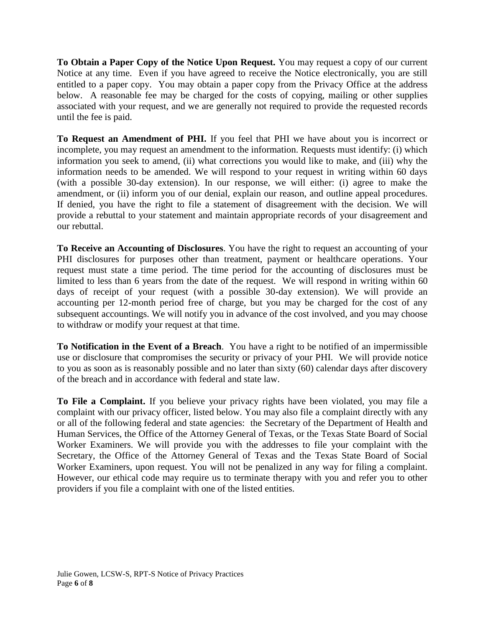**To Obtain a Paper Copy of the Notice Upon Request.** You may request a copy of our current Notice at any time. Even if you have agreed to receive the Notice electronically, you are still entitled to a paper copy. You may obtain a paper copy from the Privacy Office at the address below. A reasonable fee may be charged for the costs of copying, mailing or other supplies associated with your request, and we are generally not required to provide the requested records until the fee is paid.

**To Request an Amendment of PHI.** If you feel that PHI we have about you is incorrect or incomplete, you may request an amendment to the information. Requests must identify: (i) which information you seek to amend, (ii) what corrections you would like to make, and (iii) why the information needs to be amended. We will respond to your request in writing within 60 days (with a possible 30-day extension). In our response, we will either: (i) agree to make the amendment, or (ii) inform you of our denial, explain our reason, and outline appeal procedures. If denied, you have the right to file a statement of disagreement with the decision. We will provide a rebuttal to your statement and maintain appropriate records of your disagreement and our rebuttal.

**To Receive an Accounting of Disclosures**. You have the right to request an accounting of your PHI disclosures for purposes other than treatment, payment or healthcare operations. Your request must state a time period. The time period for the accounting of disclosures must be limited to less than 6 years from the date of the request. We will respond in writing within 60 days of receipt of your request (with a possible 30-day extension). We will provide an accounting per 12-month period free of charge, but you may be charged for the cost of any subsequent accountings. We will notify you in advance of the cost involved, and you may choose to withdraw or modify your request at that time.

**To Notification in the Event of a Breach**. You have a right to be notified of an impermissible use or disclosure that compromises the security or privacy of your PHI. We will provide notice to you as soon as is reasonably possible and no later than sixty (60) calendar days after discovery of the breach and in accordance with federal and state law.

**To File a Complaint.** If you believe your privacy rights have been violated, you may file a complaint with our privacy officer, listed below. You may also file a complaint directly with any or all of the following federal and state agencies: the Secretary of the Department of Health and Human Services, the Office of the Attorney General of Texas, or the Texas State Board of Social Worker Examiners. We will provide you with the addresses to file your complaint with the Secretary, the Office of the Attorney General of Texas and the Texas State Board of Social Worker Examiners, upon request. You will not be penalized in any way for filing a complaint. However, our ethical code may require us to terminate therapy with you and refer you to other providers if you file a complaint with one of the listed entities.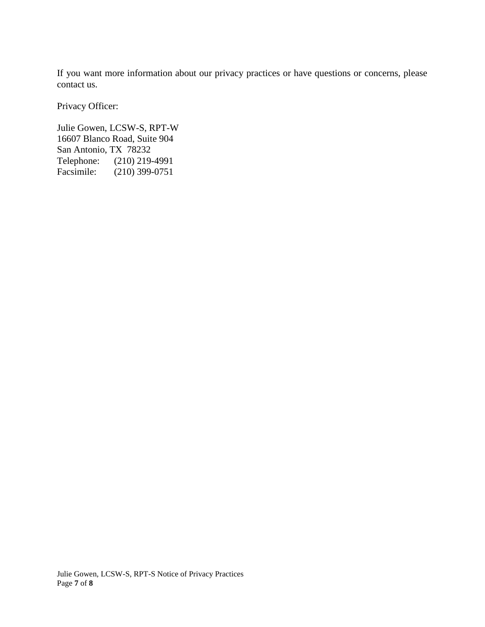If you want more information about our privacy practices or have questions or concerns, please contact us.

Privacy Officer:

Julie Gowen, LCSW-S, RPT-W 16607 Blanco Road, Suite 904 San Antonio, TX 78232 Telephone: (210) 219-4991 Facsimile: (210) 399-0751